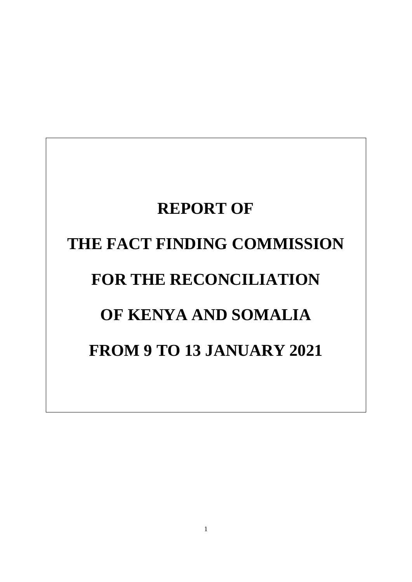# **REPORT OF THE FACT FINDING COMMISSION FOR THE RECONCILIATION OF KENYA AND SOMALIA FROM 9 TO 13 JANUARY 2021**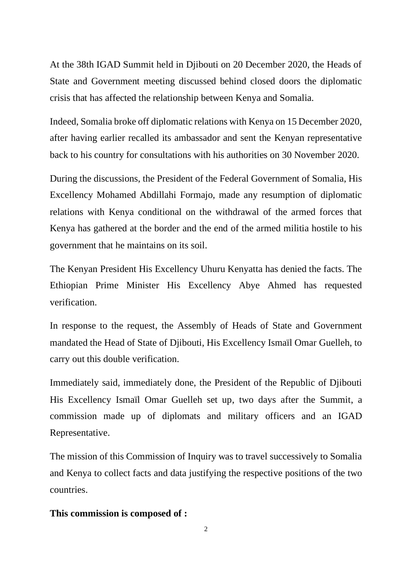At the 38th IGAD Summit held in Djibouti on 20 December 2020, the Heads of State and Government meeting discussed behind closed doors the diplomatic crisis that has affected the relationship between Kenya and Somalia.

Indeed, Somalia broke off diplomatic relations with Kenya on 15 December 2020, after having earlier recalled its ambassador and sent the Kenyan representative back to his country for consultations with his authorities on 30 November 2020.

During the discussions, the President of the Federal Government of Somalia, His Excellency Mohamed Abdillahi Formajo, made any resumption of diplomatic relations with Kenya conditional on the withdrawal of the armed forces that Kenya has gathered at the border and the end of the armed militia hostile to his government that he maintains on its soil.

The Kenyan President His Excellency Uhuru Kenyatta has denied the facts. The Ethiopian Prime Minister His Excellency Abye Ahmed has requested verification.

In response to the request, the Assembly of Heads of State and Government mandated the Head of State of Djibouti, His Excellency Ismaïl Omar Guelleh, to carry out this double verification.

Immediately said, immediately done, the President of the Republic of Djibouti His Excellency Ismaïl Omar Guelleh set up, two days after the Summit, a commission made up of diplomats and military officers and an IGAD Representative.

The mission of this Commission of Inquiry was to travel successively to Somalia and Kenya to collect facts and data justifying the respective positions of the two countries.

### **This commission is composed of :**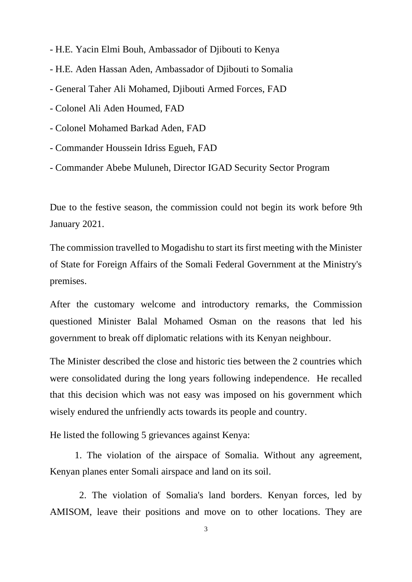- H.E. Yacin Elmi Bouh, Ambassador of Djibouti to Kenya
- H.E. Aden Hassan Aden, Ambassador of Djibouti to Somalia
- General Taher Ali Mohamed, Djibouti Armed Forces, FAD
- Colonel Ali Aden Houmed, FAD
- Colonel Mohamed Barkad Aden, FAD
- Commander Houssein Idriss Egueh, FAD
- Commander Abebe Muluneh, Director IGAD Security Sector Program

Due to the festive season, the commission could not begin its work before 9th January 2021.

The commission travelled to Mogadishu to start its first meeting with the Minister of State for Foreign Affairs of the Somali Federal Government at the Ministry's premises.

After the customary welcome and introductory remarks, the Commission questioned Minister Balal Mohamed Osman on the reasons that led his government to break off diplomatic relations with its Kenyan neighbour.

The Minister described the close and historic ties between the 2 countries which were consolidated during the long years following independence. He recalled that this decision which was not easy was imposed on his government which wisely endured the unfriendly acts towards its people and country.

He listed the following 5 grievances against Kenya:

1. The violation of the airspace of Somalia. Without any agreement, Kenyan planes enter Somali airspace and land on its soil.

2. The violation of Somalia's land borders. Kenyan forces, led by AMISOM, leave their positions and move on to other locations. They are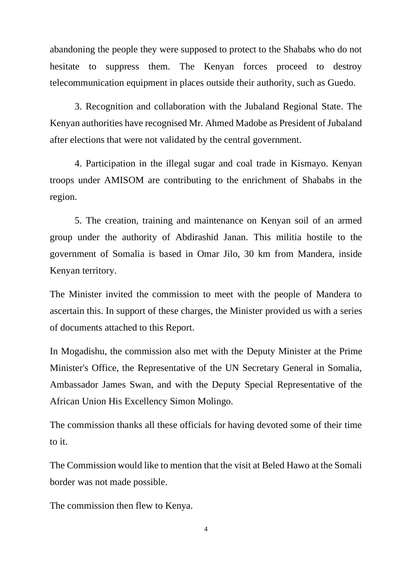abandoning the people they were supposed to protect to the Shababs who do not hesitate to suppress them. The Kenyan forces proceed to destroy telecommunication equipment in places outside their authority, such as Guedo.

3. Recognition and collaboration with the Jubaland Regional State. The Kenyan authorities have recognised Mr. Ahmed Madobe as President of Jubaland after elections that were not validated by the central government.

4. Participation in the illegal sugar and coal trade in Kismayo. Kenyan troops under AMISOM are contributing to the enrichment of Shababs in the region.

5. The creation, training and maintenance on Kenyan soil of an armed group under the authority of Abdirashid Janan. This militia hostile to the government of Somalia is based in Omar Jilo, 30 km from Mandera, inside Kenyan territory.

The Minister invited the commission to meet with the people of Mandera to ascertain this. In support of these charges, the Minister provided us with a series of documents attached to this Report.

In Mogadishu, the commission also met with the Deputy Minister at the Prime Minister's Office, the Representative of the UN Secretary General in Somalia, Ambassador James Swan, and with the Deputy Special Representative of the African Union His Excellency Simon Molingo.

The commission thanks all these officials for having devoted some of their time to it.

The Commission would like to mention that the visit at Beled Hawo at the Somali border was not made possible.

The commission then flew to Kenya.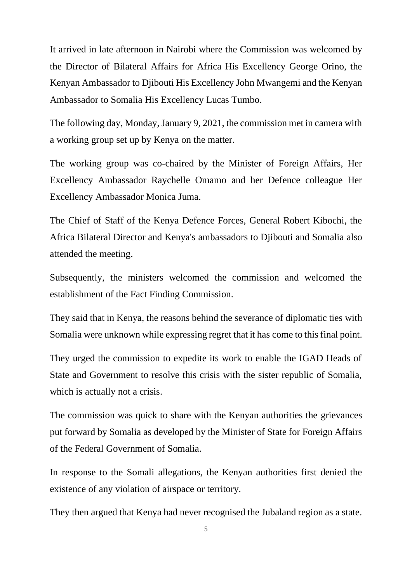It arrived in late afternoon in Nairobi where the Commission was welcomed by the Director of Bilateral Affairs for Africa His Excellency George Orino, the Kenyan Ambassador to Djibouti His Excellency John Mwangemi and the Kenyan Ambassador to Somalia His Excellency Lucas Tumbo.

The following day, Monday, January 9, 2021, the commission met in camera with a working group set up by Kenya on the matter.

The working group was co-chaired by the Minister of Foreign Affairs, Her Excellency Ambassador Raychelle Omamo and her Defence colleague Her Excellency Ambassador Monica Juma.

The Chief of Staff of the Kenya Defence Forces, General Robert Kibochi, the Africa Bilateral Director and Kenya's ambassadors to Djibouti and Somalia also attended the meeting.

Subsequently, the ministers welcomed the commission and welcomed the establishment of the Fact Finding Commission.

They said that in Kenya, the reasons behind the severance of diplomatic ties with Somalia were unknown while expressing regret that it has come to this final point.

They urged the commission to expedite its work to enable the IGAD Heads of State and Government to resolve this crisis with the sister republic of Somalia, which is actually not a crisis.

The commission was quick to share with the Kenyan authorities the grievances put forward by Somalia as developed by the Minister of State for Foreign Affairs of the Federal Government of Somalia.

In response to the Somali allegations, the Kenyan authorities first denied the existence of any violation of airspace or territory.

They then argued that Kenya had never recognised the Jubaland region as a state.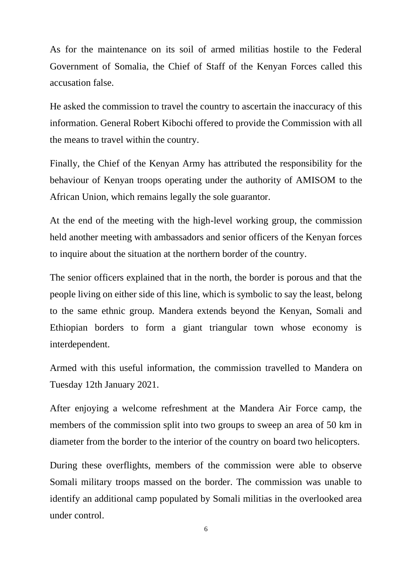As for the maintenance on its soil of armed militias hostile to the Federal Government of Somalia, the Chief of Staff of the Kenyan Forces called this accusation false.

He asked the commission to travel the country to ascertain the inaccuracy of this information. General Robert Kibochi offered to provide the Commission with all the means to travel within the country.

Finally, the Chief of the Kenyan Army has attributed the responsibility for the behaviour of Kenyan troops operating under the authority of AMISOM to the African Union, which remains legally the sole guarantor.

At the end of the meeting with the high-level working group, the commission held another meeting with ambassadors and senior officers of the Kenyan forces to inquire about the situation at the northern border of the country.

The senior officers explained that in the north, the border is porous and that the people living on either side of this line, which is symbolic to say the least, belong to the same ethnic group. Mandera extends beyond the Kenyan, Somali and Ethiopian borders to form a giant triangular town whose economy is interdependent.

Armed with this useful information, the commission travelled to Mandera on Tuesday 12th January 2021.

After enjoying a welcome refreshment at the Mandera Air Force camp, the members of the commission split into two groups to sweep an area of 50 km in diameter from the border to the interior of the country on board two helicopters.

During these overflights, members of the commission were able to observe Somali military troops massed on the border. The commission was unable to identify an additional camp populated by Somali militias in the overlooked area under control.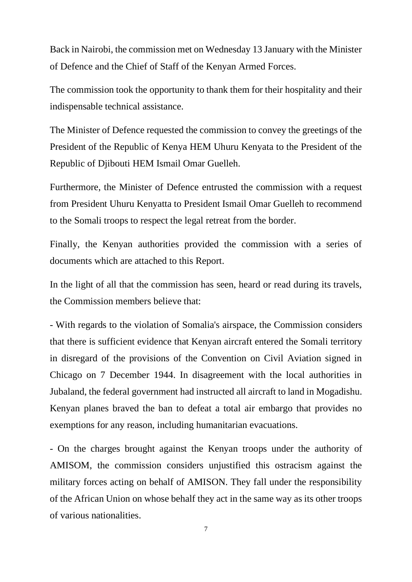Back in Nairobi, the commission met on Wednesday 13 January with the Minister of Defence and the Chief of Staff of the Kenyan Armed Forces.

The commission took the opportunity to thank them for their hospitality and their indispensable technical assistance.

The Minister of Defence requested the commission to convey the greetings of the President of the Republic of Kenya HEM Uhuru Kenyata to the President of the Republic of Djibouti HEM Ismail Omar Guelleh.

Furthermore, the Minister of Defence entrusted the commission with a request from President Uhuru Kenyatta to President Ismail Omar Guelleh to recommend to the Somali troops to respect the legal retreat from the border.

Finally, the Kenyan authorities provided the commission with a series of documents which are attached to this Report.

In the light of all that the commission has seen, heard or read during its travels, the Commission members believe that:

- With regards to the violation of Somalia's airspace, the Commission considers that there is sufficient evidence that Kenyan aircraft entered the Somali territory in disregard of the provisions of the Convention on Civil Aviation signed in Chicago on 7 December 1944. In disagreement with the local authorities in Jubaland, the federal government had instructed all aircraft to land in Mogadishu. Kenyan planes braved the ban to defeat a total air embargo that provides no exemptions for any reason, including humanitarian evacuations.

- On the charges brought against the Kenyan troops under the authority of AMISOM, the commission considers unjustified this ostracism against the military forces acting on behalf of AMISON. They fall under the responsibility of the African Union on whose behalf they act in the same way as its other troops of various nationalities.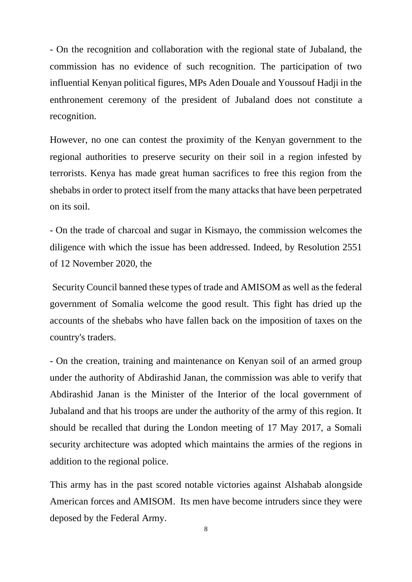- On the recognition and collaboration with the regional state of Jubaland, the commission has no evidence of such recognition. The participation of two influential Kenyan political figures, MPs Aden Douale and Youssouf Hadji in the enthronement ceremony of the president of Jubaland does not constitute a recognition.

However, no one can contest the proximity of the Kenyan government to the regional authorities to preserve security on their soil in a region infested by terrorists. Kenya has made great human sacrifices to free this region from the shebabs in order to protect itself from the many attacks that have been perpetrated on its soil.

- On the trade of charcoal and sugar in Kismayo, the commission welcomes the diligence with which the issue has been addressed. Indeed, by Resolution 2551 of 12 November 2020, the

Security Council banned these types of trade and AMISOM as well as the federal government of Somalia welcome the good result. This fight has dried up the accounts of the shebabs who have fallen back on the imposition of taxes on the country's traders.

- On the creation, training and maintenance on Kenyan soil of an armed group under the authority of Abdirashid Janan, the commission was able to verify that Abdirashid Janan is the Minister of the Interior of the local government of Jubaland and that his troops are under the authority of the army of this region. It should be recalled that during the London meeting of 17 May 2017, a Somali security architecture was adopted which maintains the armies of the regions in addition to the regional police.

This army has in the past scored notable victories against Alshabab alongside American forces and AMISOM. Its men have become intruders since they were deposed by the Federal Army.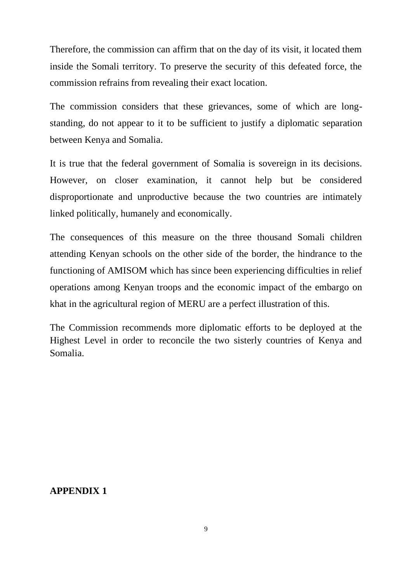Therefore, the commission can affirm that on the day of its visit, it located them inside the Somali territory. To preserve the security of this defeated force, the commission refrains from revealing their exact location.

The commission considers that these grievances, some of which are longstanding, do not appear to it to be sufficient to justify a diplomatic separation between Kenya and Somalia.

It is true that the federal government of Somalia is sovereign in its decisions. However, on closer examination, it cannot help but be considered disproportionate and unproductive because the two countries are intimately linked politically, humanely and economically.

The consequences of this measure on the three thousand Somali children attending Kenyan schools on the other side of the border, the hindrance to the functioning of AMISOM which has since been experiencing difficulties in relief operations among Kenyan troops and the economic impact of the embargo on khat in the agricultural region of MERU are a perfect illustration of this.

The Commission recommends more diplomatic efforts to be deployed at the Highest Level in order to reconcile the two sisterly countries of Kenya and Somalia.

#### **APPENDIX 1**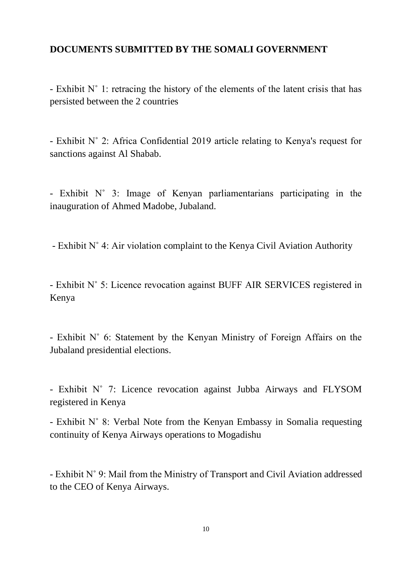## **DOCUMENTS SUBMITTED BY THE SOMALI GOVERNMENT**

- Exhibit N˚ 1: retracing the history of the elements of the latent crisis that has persisted between the 2 countries

- Exhibit N˚ 2: Africa Confidential 2019 article relating to Kenya's request for sanctions against Al Shabab.

- Exhibit N˚ 3: Image of Kenyan parliamentarians participating in the inauguration of Ahmed Madobe, Jubaland.

- Exhibit N˚ 4: Air violation complaint to the Kenya Civil Aviation Authority

- Exhibit N˚ 5: Licence revocation against BUFF AIR SERVICES registered in Kenya

- Exhibit N˚ 6: Statement by the Kenyan Ministry of Foreign Affairs on the Jubaland presidential elections.

- Exhibit N˚ 7: Licence revocation against Jubba Airways and FLYSOM registered in Kenya

- Exhibit N˚ 8: Verbal Note from the Kenyan Embassy in Somalia requesting continuity of Kenya Airways operations to Mogadishu

- Exhibit N˚ 9: Mail from the Ministry of Transport and Civil Aviation addressed to the CEO of Kenya Airways.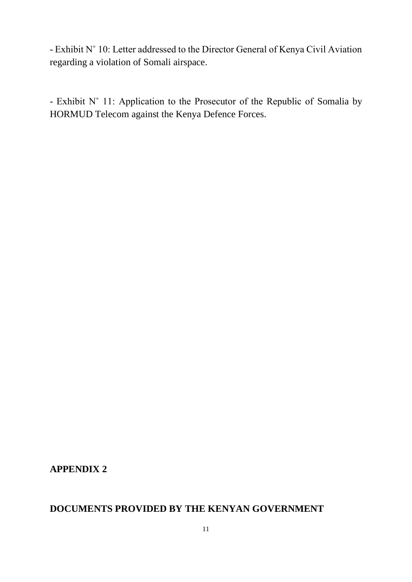- Exhibit N˚ 10: Letter addressed to the Director General of Kenya Civil Aviation regarding a violation of Somali airspace.

- Exhibit N˚ 11: Application to the Prosecutor of the Republic of Somalia by HORMUD Telecom against the Kenya Defence Forces.

**APPENDIX 2**

# **DOCUMENTS PROVIDED BY THE KENYAN GOVERNMENT**